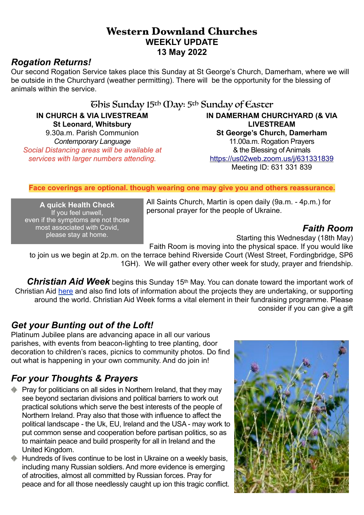## **Western Downland Churches WEEKLY UPDATE 13 May 2022**

# *Rogation Returns!*

Our second Rogation Service takes place this Sunday at St George's Church, Damerham, where we will be outside in the Churchyard (weather permitting). There will be the opportunity for the blessing of animals within the service.

# This Sunday 15th May: 5th Sunday of Easter

**IN CHURCH & VIA LIVESTREAM St Leonard, Whitsbury** 9.30a.m. Parish Communion *Contemporary Language Social Distancing areas will be available at services with larger numbers attending.*

**IN DAMERHAM CHURCHYARD (& VIA LIVESTREAM St George's Church, Damerham** 11.00a.m. Rogation Prayers & the Blessing of Animals <https://us02web.zoom.us/j/631331839> Meeting ID: 631 331 839

#### **Face coverings are optional. though wearing one may give you and others reassurance.**

**A quick Health Check** If you feel unwell, even if the symptoms are not those most associated with Covid, please stay at home.

All Saints Church, Martin is open daily (9a.m. - 4p.m.) for personal prayer for the people of Ukraine.

### *Faith Room*

Starting this Wednesday (18th May)

Faith Room is moving into the physical space. If you would like

to join us we begin at 2p.m. on the terrace behind Riverside Court (West Street, Fordingbridge, SP6 1GH). We will gather every other week for study, prayer and friendship.

*Christian Aid Week* begins this Sunday 15th May. You can donate toward the important work of Christian Aid [here](https://www.christianaid.org.uk/appeals/key-appeals/christian-aid-week?&_$ja=tsid:%7Ccid:12742541687%7Cagid:121353303552%7Ctid:kwd-294799472627%7Ccrid:592443611973%7Cnw:g%7Crnd:12902254721817807058%7Cdvc:c%7Cadp:%7Cmt:e%7Cloc:1006730&gclid=EAIaIQobChMIyJXu3obL9wIVmLPtCh2O9Qj0EAAYASAAEgKbj_D_BwE&gclsrc=aw.ds) and also find lots of information about the projects they are undertaking, or supporting around the world. Christian Aid Week forms a vital element in their fundraising programme. Please consider if you can give a gift

# *Get your Bunting out of the Loft!*

Platinum Jubilee plans are advancing apace in all our various parishes, with events from beacon-lighting to tree planting, door decoration to children's races, picnics to community photos. Do find out what is happening in your own community. And do join in!

# *For your Thoughts & Prayers*

- **Pray for politicians on all sides in Northern Ireland, that they may** see beyond sectarian divisions and political barriers to work out practical solutions which serve the best interests of the people of Northern Ireland. Pray also that those with influence to affect the political landscape - the Uk, EU, Ireland and the USA - may work to put common sense and cooperation before partisan politics, so as to maintain peace and build prosperity for all in Ireland and the United Kingdom.
- Hundreds of lives continue to be lost in Ukraine on a weekly basis, including many Russian soldiers. And more evidence is emerging of atrocities, almost all committed by Russian forces. Pray for peace and for all those needlessly caught up ion this tragic conflict.